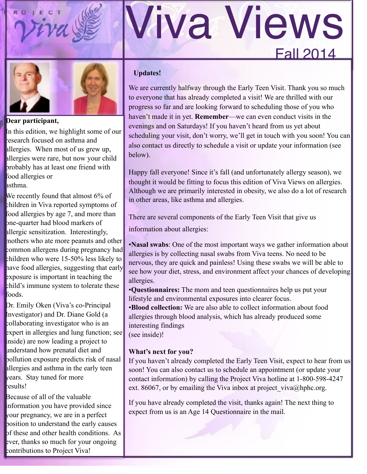

# Fall 2014 Viva Views



**Dear participant,** 

In this edition, we highlight some of our research focused on asthma and allergies. When most of us grew up, allergies were rare, but now your child probably has at least one friend with food allergies or asthma.

We recently found that almost 6% of children in Viva reported symptoms of food allergies by age 7, and more than one-quarter had blood markers of allergic sensitization. Interestingly, mothers who ate more peanuts and other common allergens during pregnancy had children who were 15-50% less likely to have food allergies, suggesting that early exposure is important in teaching the child's immune system to tolerate these foods.

Dr. Emily Oken (Viva's co-Principal Investigator) and Dr. Diane Gold (a collaborating investigator who is an expert in allergies and lung function; see inside) are now leading a project to understand how prenatal diet and pollution exposure predicts risk of nasal allergies and asthma in the early teen years. Stay tuned for more results!

Because of all of the valuable information you have provided since your pregnancy, we are in a perfect position to understand the early causes of these and other health conditions. As ever, thanks so much for your ongoing contributions to Project Viva!

#### **Updates!**

We are currently halfway through the Early Teen Visit. Thank you so much to everyone that has already completed a visit! We are thrilled with our progress so far and are looking forward to scheduling those of you who haven't made it in yet. **Remember**—we can even conduct visits in the evenings and on Saturdays! If you haven't heard from us yet about scheduling your visit, don't worry, we'll get in touch with you soon! You can also contact us directly to schedule a visit or update your information (see below).

Happy fall everyone! Since it's fall (and unfortunately allergy season), we thought it would be fitting to focus this edition of Viva Views on allergies. Although we are primarily interested in obesity, we also do a lot of research in other areas, like asthma and allergies.

There are several components of the Early Teen Visit that give us

information about allergies:

•**Nasal swabs**: One of the most important ways we gather information about allergies is by collecting nasal swabs from Viva teens. No need to be nervous, they are quick and painless! Using these swabs we will be able to see how your diet, stress, and environment affect your chances of developing allergies.

•**Questionnaires:** The mom and teen questionnaires help us put your lifestyle and environmental exposures into clearer focus.

•**Blood collection:** We are also able to collect information about food allergies through blood analysis, which has already produced some interesting findings (see inside)!

#### **What's next for you?**

If you haven't already completed the Early Teen Visit, expect to hear from us soon! You can also contact us to schedule an appointment (or update your contact information) by calling the Project Viva hotline at 1-800-598-4247 ext. 86067, or by emailing the Viva inbox at project viva@hphc.org.

If you have already completed the visit, thanks again! The next thing to expect from us is an Age 14 Questionnaire in the mail.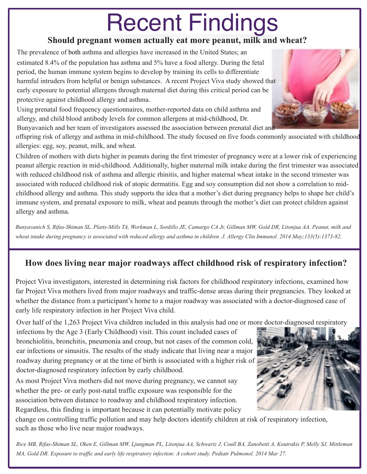# Recent Findings

#### **Should pregnant women actually eat more peanut, milk and wheat?**

The prevalence of both asthma and allergies have increased in the United States; an estimated 8.4% of the population has asthma and 5% have a food allergy. During the fetal period, the human immune system begins to develop by training its cells to differentiate harmful intruders from helpful or benign substances. A recent Project Viva study showed that early exposure to potential allergens through maternal diet during this critical period can be protective against childhood allergy and asthma.

Using prenatal food frequency questionnaires, mother-reported data on child asthma and allergy, and child blood antibody levels for common allergens at mid-childhood, Dr.

Bunyavanich and her team of investigators assessed the association between prenatal diet and

offspring risk of allergy and asthma in mid-childhood. The study focused on five foods commonly associated with childhood allergies: egg, soy, peanut, milk, and wheat.

Children of mothers with diets higher in peanuts during the first trimester of pregnancy were at a lower risk of experiencing peanut allergic reaction in mid-childhood. Additionally, higher maternal milk intake during the first trimester was associated with reduced childhood risk of asthma and allergic rhinitis, and higher maternal wheat intake in the second trimester was associated with reduced childhood risk of atopic dermatitis. Egg and soy consumption did not show a correlation to midchildhood allergy and asthma. This study supports the idea that a mother's diet during pregnancy helps to shape her child's immune system, and prenatal exposure to milk, wheat and peanuts through the mother's diet can protect children against allergy and asthma.

Bunyavanich S, Rifas-Shiman SL, Platts-Mills TA, Workman L, Sordillo JE, Camargo CA Jr, Gillman MW, Gold DR, Litonjua AA. Peanut, milk and wheat intake during pregnancy is associated with reduced allergy and asthma in children. J. Allergy Clin Immunol. 2014 May;133(5):1373-82.

#### **How does living near major roadways affect childhood risk of respiratory infection?**

Project Viva investigators, interested in determining risk factors for childhood respiratory infections, examined how far Project Viva mothers lived from major roadways and traffic-dense areas during their pregnancies. They looked at whether the distance from a participant's home to a major roadway was associated with a doctor-diagnosed case of early life respiratory infection in her Project Viva child.

Over half of the 1,263 Project Viva children included in this analysis had one or more doctor-diagnosed respiratory

infections by the Age 3 (Early Childhood) visit. This count included cases of bronchiolitis, bronchitis, pneumonia and croup, but not cases of the common cold, ear infections or sinusitis. The results of the study indicate that living near a major roadway during pregnancy or at the time of birth is associated with a higher risk of doctor-diagnosed respiratory infection by early childhood.

As most Project Viva mothers did not move during pregnancy, we cannot say whether the pre- or early post-natal traffic exposure was responsible for the association between distance to roadway and childhood respiratory infection. Regardless, this finding is important because it can potentially motivate policy



change on controlling traffic pollution and may help doctors identify children at risk of respiratory infection, such as those who live near major roadways.

Rice MB, Rifas-Shiman SL, Oken E, Gillman MW, Ljungman PL, Litonjua AA, Schwartz J, Coull BA, Zanobetti A, Koutrakis P, Melly SJ, Mittleman MA, Gold DR. Exposure to traffic and early life respiratory infection: A cohort study. Pediatr Pulmonol. 2014 Mar 27.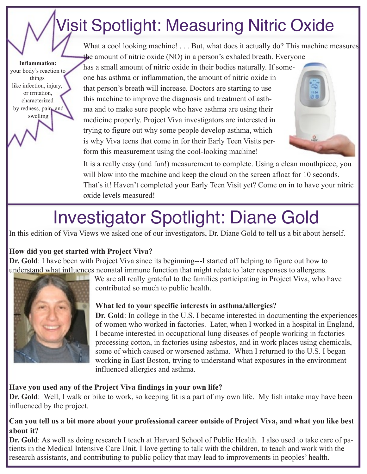### Visit Spotlight: Measuring Nitric Oxide

 **Inflammation:**  your body's reaction to things like infection, injury, or irritation, characterized by redness, pain, and swelling

What a cool looking machine! . . . But, what does it actually do? This machine measures the amount of nitric oxide (NO) in a person's exhaled breath. Everyone

 has a small amount of nitric oxide in their bodies naturally. If some one has asthma or inflammation, the amount of nitric oxide in that person's breath will increase. Doctors are starting to use this machine to improve the diagnosis and treatment of asth ma and to make sure people who have asthma are using their medicine properly. Project Viva investigators are interested in trying to figure out why some people develop asthma, which is why Viva teens that come in for their Early Teen Visits per form this measurement using the cool-looking machine!



 It is a really easy (and fun!) measurement to complete. Using a clean mouthpiece, you will blow into the machine and keep the cloud on the screen afloat for 10 seconds. That's it! Haven't completed your Early Teen Visit yet? Come on in to have your nitric oxide levels measured!

### Investigator Spotlight: Diane Gold

In this edition of Viva Views we asked one of our investigators, Dr. Diane Gold to tell us a bit about herself.

#### **How did you get started with Project Viva?**

**Dr. Gold**: I have been with Project Viva since its beginning---I started off helping to figure out how to understand what influences neonatal immune function that might relate to later responses to allergens.



 We are all really grateful to the families participating in Project Viva, who have contributed so much to public health.

#### **What led to your specific interests in asthma/allergies?**

 **Dr. Gold**: In college in the U.S. I became interested in documenting the experiences of women who worked in factories. Later, when I worked in a hospital in England, I became interested in occupational lung diseases of people working in factories processing cotton, in factories using asbestos, and in work places using chemicals, some of which caused or worsened asthma. When I returned to the U.S. I began working in East Boston, trying to understand what exposures in the environment influenced allergies and asthma.

#### **Have you used any of the Project Viva findings in your own life?**

**Dr. Gold**: Well, I walk or bike to work, so keeping fit is a part of my own life. My fish intake may have been influenced by the project.

#### Can you tell us a bit more about your professional career outside of Project Viva, and what you like best **about it?**

**Dr. Gold**: As well as doing research I teach at Harvard School of Public Health. I also used to take care of patients in the Medical Intensive Care Unit. I love getting to talk with the children, to teach and work with the research assistants, and contributing to public policy that may lead to improvements in peoples' health.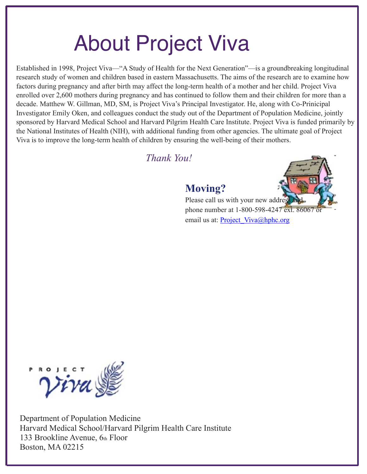## About Project Viva

Established in 1998, Project Viva—"A Study of Health for the Next Generation"—is a groundbreaking longitudinal research study of women and children based in eastern Massachusetts. The aims of the research are to examine how factors during pregnancy and after birth may affect the long-term health of a mother and her child. Project Viva enrolled over 2,600 mothers during pregnancy and has continued to follow them and their children for more than a decade. Matthew W. Gillman, MD, SM, is Project Viva's Principal Investigator. He, along with Co-Prinicipal Investigator Emily Oken, and colleagues conduct the study out of the Department of Population Medicine, jointly sponsored by Harvard Medical School and Harvard Pilgrim Health Care Institute. Project Viva is funded primarily by the National Institutes of Health (NIH), with additional funding from other agencies. The ultimate goal of Project Viva is to improve the long-term health of children by ensuring the well-being of their mothers.

*Thank You!* 

### **Moving?**



Please call us with your new address phone number at 1-800-598-4247 ext. 86067 email us at: Project Viva@hphc.org



Department of Population Medicine Harvard Medical School/Harvard Pilgrim Health Care Institute 133 Brookline Avenue, 6th Floor Boston, MA 02215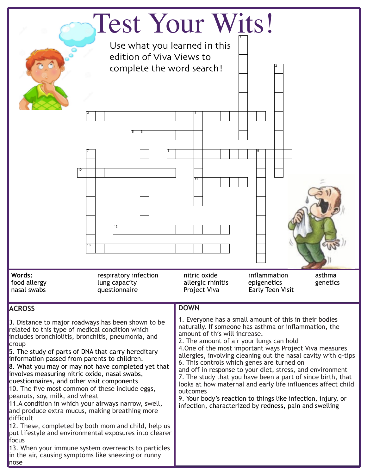